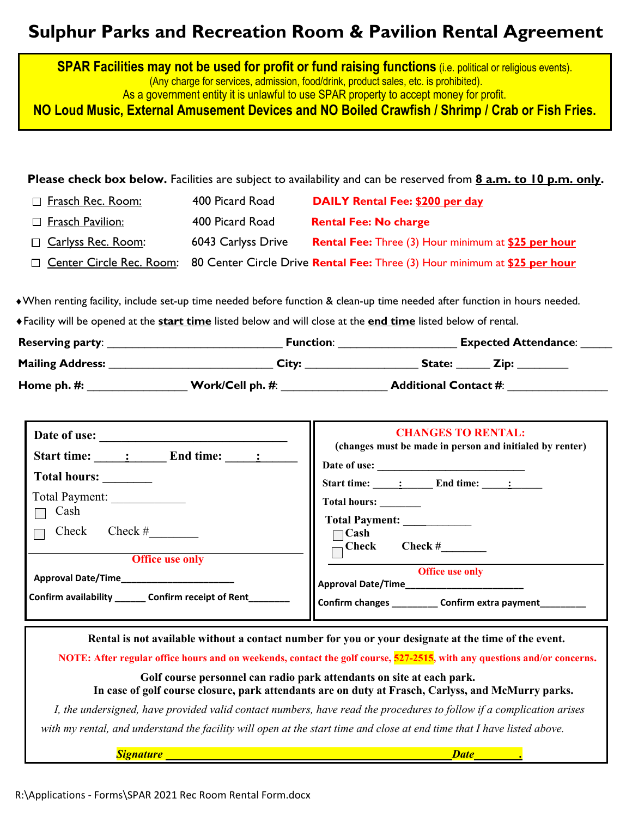# **Sulphur Parks and Recreation Room & Pavilion Rental Agreement**

**SPAR Facilities may not be used for profit or fund raising functions** *(i.e. political or religious events).* (Any charge for services, admission, food/drink, product sales, etc. is prohibited). As a government entity it is unlawful to use SPAR property to accept money for profit.

**NO Loud Music, External Amusement Devices and NO Boiled Crawfish / Shrimp / Crab or Fish Fries.**

**Please check box below.** Facilities are subject to availability and can be reserved from **8 a.m. to 10 p.m. only.**

| □ Frasch Rec. Room:       | 400 Picard Road    | DAILY Rental Fee: \$200 per day                                                                       |
|---------------------------|--------------------|-------------------------------------------------------------------------------------------------------|
| □ Frasch Pavilion:        | 400 Picard Road    | <b>Rental Fee: No charge</b>                                                                          |
| $\Box$ Carlyss Rec. Room: | 6043 Carlyss Drive | <b>Rental Fee: Three (3) Hour minimum at \$25 per hour</b>                                            |
|                           |                    | □ Center Circle Rec. Room: 80 Center Circle Drive Rental Fee: Three (3) Hour minimum at \$25 per hour |

♦When renting facility, include set-up time needed before function & clean-up time needed after function in hours needed.

♦Facility will be opened at the **start time** listed below and will close at the **end time** listed below of rental.

| <b>Reserving party:</b> | <b>Function:</b> | <b>Expected Attendance:</b>  |
|-------------------------|------------------|------------------------------|
| <b>Mailing Address:</b> | City:            | State:                       |
| Home ph. #:             | Work/Cell ph. #: | <b>Additional Contact #:</b> |

| Date of use:                                          | <b>CHANGES TO RENTAL:</b>                                                                                                                                                                                                                                                                                                                |
|-------------------------------------------------------|------------------------------------------------------------------------------------------------------------------------------------------------------------------------------------------------------------------------------------------------------------------------------------------------------------------------------------------|
| Start time: : End time: :                             | (changes must be made in person and initialed by renter)                                                                                                                                                                                                                                                                                 |
| Total hours:                                          | Start time: $\qquad \qquad$ $\qquad$ $\qquad$ $\qquad$ $\qquad$ $\qquad$ $\qquad$ $\qquad$ $\qquad$ $\qquad$ $\qquad$ $\qquad$ $\qquad$ $\qquad$ $\qquad$ $\qquad$ $\qquad$ $\qquad$ $\qquad$ $\qquad$ $\qquad$ $\qquad$ $\qquad$ $\qquad$ $\qquad$ $\qquad$ $\qquad$ $\qquad$ $\qquad$ $\qquad$ $\qquad$ $\qquad$ $\qquad$ $\qquad$ $\$ |
| Total Payment:<br>Cash                                | Total hours: _______                                                                                                                                                                                                                                                                                                                     |
| Check #<br>Check                                      | Total Payment: _________<br>∣Cash                                                                                                                                                                                                                                                                                                        |
| <b>Office use only</b>                                | $\mathop{-} \mathbf{Check}$<br>Check $#$                                                                                                                                                                                                                                                                                                 |
| Approval Date/Time___________________                 | <b>Office use only</b><br>Approval Date/Time_______________________                                                                                                                                                                                                                                                                      |
| Confirm availability ________ Confirm receipt of Rent | Confirm changes ____________ Confirm extra payment________                                                                                                                                                                                                                                                                               |

**Rental is not available without a contact number for you or your designate at the time of the event.**

**NOTE: After regular office hours and on weekends, contact the golf course, 527-2515, with any questions and/or concerns.** 

**Golf course personnel can radio park attendants on site at each park. In case of golf course closure, park attendants are on duty at Frasch, Carlyss, and McMurry parks.**

*I, the undersigned, have provided valid contact numbers, have read the procedures to follow if a complication arises with my rental, and understand the facility will open at the start time and close at end time that I have listed above.*

*Signature Date .*